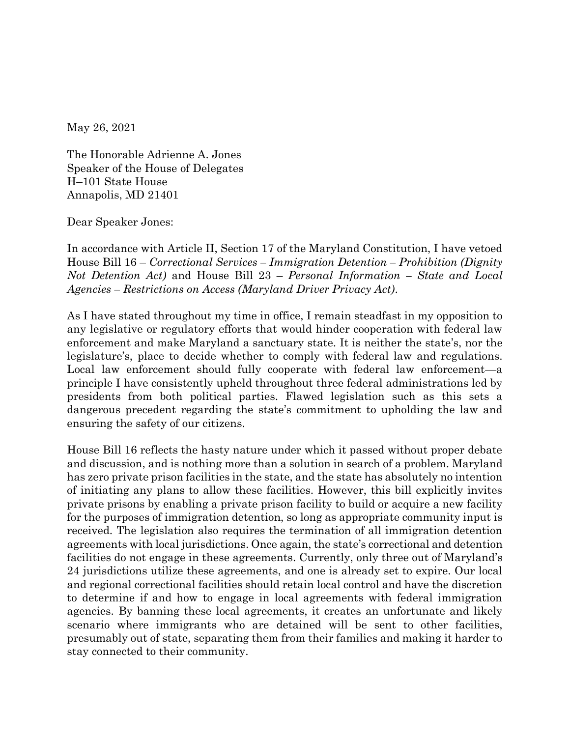May 26, 2021

The Honorable Adrienne A. Jones Speaker of the House of Delegates H–101 State House Annapolis, MD 21401

Dear Speaker Jones:

In accordance with Article II, Section 17 of the Maryland Constitution, I have vetoed House Bill 16 – *Correctional Services – Immigration Detention – Prohibition (Dignity Not Detention Act)* and House Bill 23 – *Personal Information – State and Local Agencies – Restrictions on Access (Maryland Driver Privacy Act)*.

As I have stated throughout my time in office, I remain steadfast in my opposition to any legislative or regulatory efforts that would hinder cooperation with federal law enforcement and make Maryland a sanctuary state. It is neither the state's, nor the legislature's, place to decide whether to comply with federal law and regulations. Local law enforcement should fully cooperate with federal law enforcement—a principle I have consistently upheld throughout three federal administrations led by presidents from both political parties. Flawed legislation such as this sets a dangerous precedent regarding the state's commitment to upholding the law and ensuring the safety of our citizens.

House Bill 16 reflects the hasty nature under which it passed without proper debate and discussion, and is nothing more than a solution in search of a problem. Maryland has zero private prison facilities in the state, and the state has absolutely no intention of initiating any plans to allow these facilities. However, this bill explicitly invites private prisons by enabling a private prison facility to build or acquire a new facility for the purposes of immigration detention, so long as appropriate community input is received. The legislation also requires the termination of all immigration detention agreements with local jurisdictions. Once again, the state's correctional and detention facilities do not engage in these agreements. Currently, only three out of Maryland's 24 jurisdictions utilize these agreements, and one is already set to expire. Our local and regional correctional facilities should retain local control and have the discretion to determine if and how to engage in local agreements with federal immigration agencies. By banning these local agreements, it creates an unfortunate and likely scenario where immigrants who are detained will be sent to other facilities, presumably out of state, separating them from their families and making it harder to stay connected to their community.